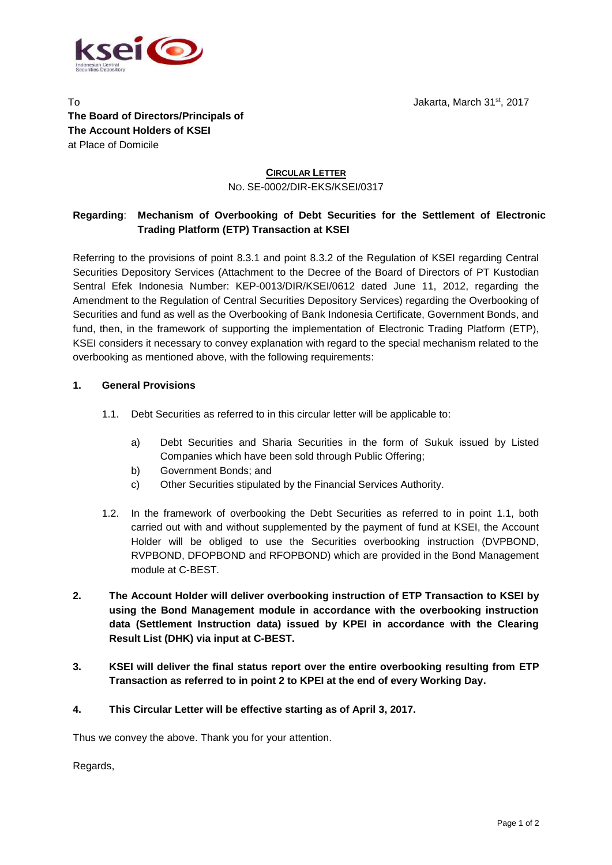

Jakarta, March 31st , 2017

To **The Board of Directors/Principals of The Account Holders of KSEI** at Place of Domicile

## **CIRCULAR LETTER** NO. SE-0002/DIR-EKS/KSEI/0317

## **Regarding**: **Mechanism of Overbooking of Debt Securities for the Settlement of Electronic Trading Platform (ETP) Transaction at KSEI**

Referring to the provisions of point 8.3.1 and point 8.3.2 of the Regulation of KSEI regarding Central Securities Depository Services (Attachment to the Decree of the Board of Directors of PT Kustodian Sentral Efek Indonesia Number: KEP-0013/DIR/KSEI/0612 dated June 11, 2012, regarding the Amendment to the Regulation of Central Securities Depository Services) regarding the Overbooking of Securities and fund as well as the Overbooking of Bank Indonesia Certificate, Government Bonds, and fund, then, in the framework of supporting the implementation of Electronic Trading Platform (ETP), KSEI considers it necessary to convey explanation with regard to the special mechanism related to the overbooking as mentioned above, with the following requirements:

## **1. General Provisions**

- 1.1. Debt Securities as referred to in this circular letter will be applicable to:
	- a) Debt Securities and Sharia Securities in the form of Sukuk issued by Listed Companies which have been sold through Public Offering;
	- b) Government Bonds; and
	- c) Other Securities stipulated by the Financial Services Authority.
- 1.2. In the framework of overbooking the Debt Securities as referred to in point 1.1, both carried out with and without supplemented by the payment of fund at KSEI, the Account Holder will be obliged to use the Securities overbooking instruction (DVPBOND, RVPBOND, DFOPBOND and RFOPBOND) which are provided in the Bond Management module at C-BEST*.*
- **2. The Account Holder will deliver overbooking instruction of ETP Transaction to KSEI by using the Bond Management module in accordance with the overbooking instruction data (Settlement Instruction data) issued by KPEI in accordance with the Clearing Result List (DHK) via input at C-BEST.**
- **3. KSEI will deliver the final status report over the entire overbooking resulting from ETP Transaction as referred to in point 2 to KPEI at the end of every Working Day.**
- **4. This Circular Letter will be effective starting as of April 3, 2017.**

Thus we convey the above. Thank you for your attention.

Regards,